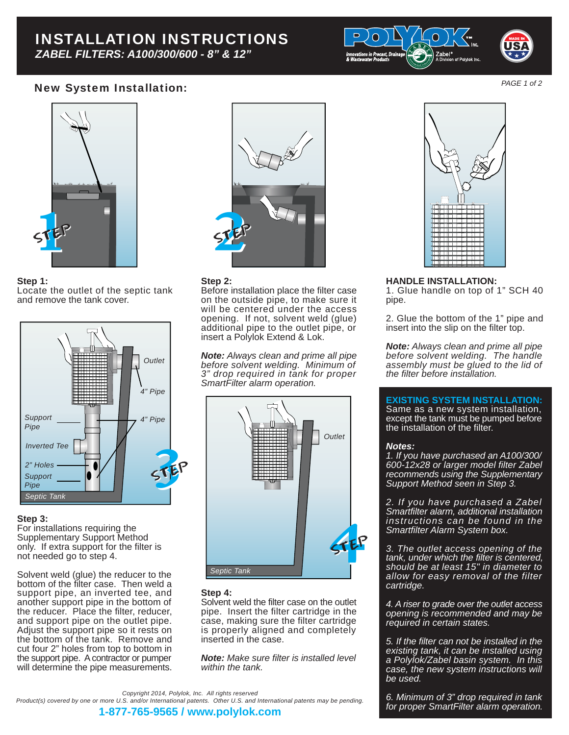

# New System Installation:



# **Step 1:**

Locate the outlet of the septic tank and remove the tank cover.



### **Step 3:**

For installations requiring the Supplementary Support Method only. If extra support for the filter is not needed go to step 4.

Solvent weld (glue) the reducer to the bottom of the filter case. Then weld a support pipe, an inverted tee, and another support pipe in the bottom of the reducer. Place the filter, reducer, and support pipe on the outlet pipe. Adjust the support pipe so it rests on the bottom of the tank. Remove and cut four 2" holes from top to bottom in the support pipe. A contractor or pumper will determine the pipe measurements.



### **Step 2:**

Before installation place the filter case on the outside pipe, to make sure it will be centered under the access opening. If not, solvent weld (glue) additional pipe to the outlet pipe, or insert a Polylok Extend & Lok.

*Note: Always clean and prime all pipe before solvent welding. Minimum of 3" drop required in tank for proper SmartFilter alarm operation.*



#### **Step 4:**

Solvent weld the filter case on the outlet pipe. Insert the filter cartridge in the case, making sure the filter cartridge is properly aligned and completely inserted in the case.

*Note: Make sure filter is installed level within the tank.*



### **HANDLE INSTALLATION:**

1. Glue handle on top of 1" SCH 40 pipe.

2. Glue the bottom of the 1" pipe and insert into the slip on the filter top.

*Note: Always clean and prime all pipe before solvent welding. The handle assembly must be glued to the lid of the filter before installation.*

# **EXISTING SYSTEM INSTALLATION:**

Same as a new system installation, except the tank must be pumped before the installation of the filter.

#### *Notes:*

*1. If you have purchased an A100/300/ 600-12x28 or larger model filter Zabel recommends using the Supplementary Support Method seen in Step 3.* 

*2. If you have purchased a Zabel Smartfilter alarm, additional installation instructions can be found in the Smartfilter Alarm System box.*

*3. The outlet access opening of the tank, under which the filter is centered, should be at least 15" in diameter to allow for easy removal of the filter cartridge.*

*4. A riser to grade over the outlet access opening is recommended and may be required in certain states.*

*5. If the filter can not be installed in the existing tank, it can be installed using a Polylok/Zabel basin system. In this case, the new system instructions will be used.*

*6. Minimum of 3" drop required in tank for proper SmartFilter alarm operation.*

*Copyright 2014, Polylok, Inc. All rights reserved Product(s) covered by one or more U.S. and/or International patents. Other U.S. and International patents may be pending.*

# **1-877-765-9565 / www.polylok.com**

*PAGE 1 of 2*